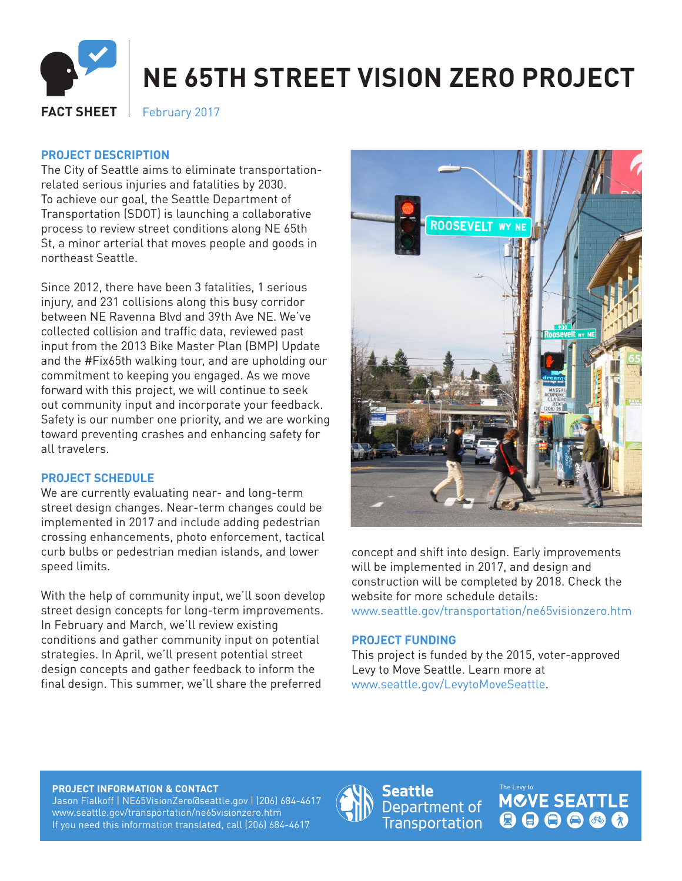

# **NE 65TH STREET VISION ZERO PROJECT**

**FACT SHEET** February 2017

## **PROJECT DESCRIPTION**

The City of Seattle aims to eliminate transportationrelated serious injuries and fatalities by 2030. To achieve our goal, the Seattle Department of Transportation (SDOT) is launching a collaborative process to review street conditions along NE 65th St, a minor arterial that moves people and goods in northeast Seattle.

Since 2012, there have been 3 fatalities, 1 serious injury, and 231 collisions along this busy corridor between NE Ravenna Blvd and 39th Ave NE. We've collected collision and traffic data, reviewed past input from the 2013 Bike Master Plan (BMP) Update and the #Fix65th walking tour, and are upholding our commitment to keeping you engaged. As we move forward with this project, we will continue to seek out community input and incorporate your feedback. Safety is our number one priority, and we are working toward preventing crashes and enhancing safety for all travelers.

### **PROJECT SCHEDULE**

We are currently evaluating near- and long-term street design changes. Near-term changes could be implemented in 2017 and include adding pedestrian crossing enhancements, photo enforcement, tactical curb bulbs or pedestrian median islands, and lower speed limits.

With the help of community input, we'll soon develop street design concepts for long-term improvements. In February and March, we'll review existing conditions and gather community input on potential strategies. In April, we'll present potential street design concepts and gather feedback to inform the final design. This summer, we'll share the preferred



concept and shift into design. Early improvements will be implemented in 2017, and design and construction will be completed by 2018. Check the website for more schedule details: www.seattle.gov/transportation/ne65visionzero.htm

#### **PROJECT FUNDING**

This project is funded by the 2015, voter-approved Levy to Move Seattle. Learn more at www.seattle.gov/LevytoMoveSeattle.

#### **PROJECT INFORMATION & CONTACT**

Jason Fialkoff | NE65VisionZero@seattle.gov | (206) 684-4617 www.seattle.gov/transportation/ne65visionzero.htm If you need this information translated, call (206) 684-4617



**Seattle** Department of Transportation **MCVE SEATTLE** 000000